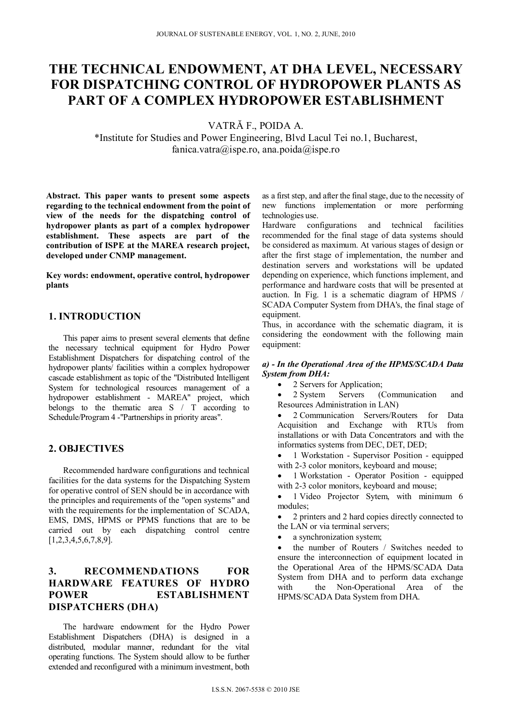# **THE TECHNICAL ENDOWMENT, AT DHA LEVEL, NECESSARY FOR DISPATCHING CONTROL OF HYDROPOWER PLANTS AS PART OF A COMPLEX HYDROPOWER ESTABLISHMENT**

VATRĂ F., POIDA A.

\*Institute for Studies and Power Engineering, Blvd Lacul Tei no.1, Bucharest, fanica.vatra@ispe.ro, ana.poida@ispe.ro

**Abstract. This paper wants to present some aspects regarding to the technical endowment from the point of view of the needs for the dispatching control of hydropower plants as part of a complex hydropower establishment. These aspects are part of the contribution of ISPE at the MAREA research project, developed under CNMP management.** 

**Key words: endowment, operative control, hydropower plants** 

## **1. INTRODUCTION**

This paper aims to present several elements that define the necessary technical equipment for Hydro Power Establishment Dispatchers for dispatching control of the hydropower plants/ facilities within a complex hydropower cascade establishment as topic of the "Distributed Intelligent System for technological resources management of a hydropower establishment - MAREA" project, which belongs to the thematic area S / T according to Schedule/Program 4 -"Partnerships in priority areas".

## **2. OBJECTIVES**

Recommended hardware configurations and technical facilities for the data systems for the Dispatching System for operative control of SEN should be in accordance with the principles and requirements of the "open systems" and with the requirements for the implementation of SCADA, EMS, DMS, HPMS or PPMS functions that are to be carried out by each dispatching control centre [1,2,3,4,5,6,7,8,9].

# **3. RECOMMENDATIONS FOR HARDWARE FEATURES OF HYDRO POWER ESTABLISHMENT DISPATCHERS (DHA)**

The hardware endowment for the Hydro Power Establishment Dispatchers (DHA) is designed in a distributed, modular manner, redundant for the vital operating functions. The System should allow to be further extended and reconfigured with a minimum investment, both

as a first step, and after the final stage, due to the necessity of new functions implementation or more performing technologies use.

Hardware configurations and technical facilities recommended for the final stage of data systems should be considered as maximum. At various stages of design or after the first stage of implementation, the number and destination servers and workstations will be updated depending on experience, which functions implement, and performance and hardware costs that will be presented at auction. In Fig. 1 is a schematic diagram of HPMS / SCADA Computer System from DHA's, the final stage of equipment.

Thus, in accordance with the schematic diagram, it is considering the eondowment with the following main equipment:

#### *a) - In the Operational Area of the HPMS/SCADA Data System from DHA:*

- 2 Servers for Application;
- 2 System Servers (Communication and Resources Administration in LAN)
- 2 Communication Servers/Routers for Data Acquisition and Exchange with RTUs from installations or with Data Concentrators and with the informatics systems from DEC, DET, DED;
- 1 Workstation Supervisor Position equipped with 2-3 color monitors, keyboard and mouse;
- 1 Workstation Operator Position equipped with 2-3 color monitors, keyboard and mouse;
- 1 Video Projector Sytem, with minimum 6 modules;
- 2 printers and 2 hard copies directly connected to the LAN or via terminal servers;
- a synchronization system;

 the number of Routers / Switches needed to ensure the interconnection of equipment located in the Operational Area of the HPMS/SCADA Data System from DHA and to perform data exchange with the Non-Operational Area of the HPMS/SCADA Data System from DHA.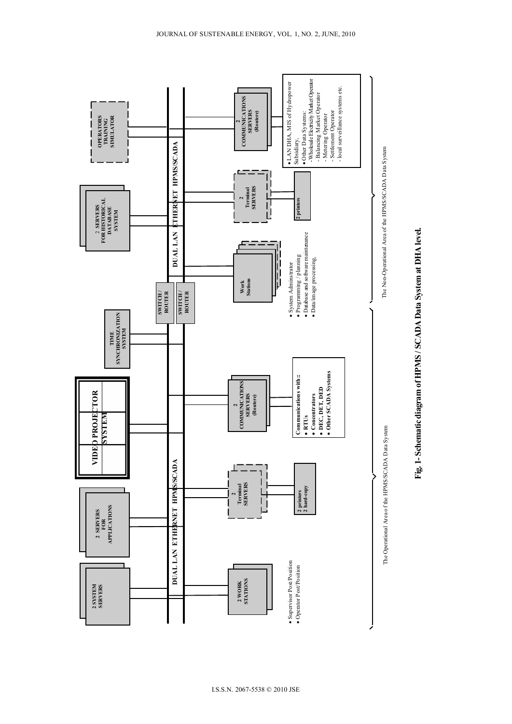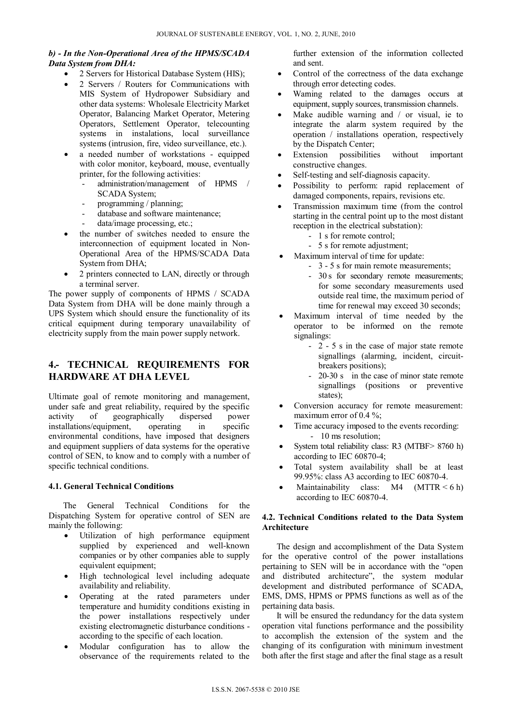## *b) - In the Non-Operational Area of the HPMS/SCADA Data System from DHA:*

- 2 Servers for Historical Database System (HIS);
- 2 Servers / Routers for Communications with MIS System of Hydropower Subsidiary and other data systems: Wholesale Electricity Market Operator, Balancing Market Operator, Metering Operators, Settlement Operator, telecounting systems in instalations, local surveillance systems (intrusion, fire, video surveillance, etc.).
- a needed number of workstations equipped with color monitor, keyboard, mouse, eventually printer, for the following activities:
	- administration/management of HPMS / SCADA System;
	- programming / planning;
	- database and software maintenance;
	- data/image processing, etc.;
- the number of switches needed to ensure the interconnection of equipment located in Non-Operational Area of the HPMS/SCADA Data System from DHA;
- 2 printers connected to LAN, directly or through a terminal server.

The power supply of components of HPMS / SCADA Data System from DHA will be done mainly through a UPS System which should ensure the functionality of its critical equipment during temporary unavailability of electricity supply from the main power supply network.

# **4.- TECHNICAL REQUIREMENTS FOR HARDWARE AT DHA LEVEL**

Ultimate goal of remote monitoring and management, under safe and great reliability, required by the specific activity of geographically dispersed power installations/equipment, operating in specific environmental conditions, have imposed that designers and equipment suppliers of data systems for the operative control of SEN, to know and to comply with a number of specific technical conditions.

#### **4.1. General Technical Conditions**

The General Technical Conditions for the Dispatching System for operative control of SEN are mainly the following:

- Utilization of high performance equipment supplied by experienced and well-known companies or by other companies able to supply equivalent equipment;
- High technological level including adequate availability and reliability.
- Operating at the rated parameters under temperature and humidity conditions existing in the power installations respectively under existing electromagnetic disturbance conditions according to the specific of each location.
- Modular configuration has to allow the observance of the requirements related to the

further extension of the information collected and sent.

- Control of the correctness of the data exchange through error detecting codes.
- Warning related to the damages occurs at equipment, supply sources, transmission channels.
- Make audible warning and / or visual, ie to integrate the alarm system required by the operation / installations operation, respectively by the Dispatch Center;
- Extension possibilities without important constructive changes.
- Self-testing and self-diagnosis capacity.
- Possibility to perform: rapid replacement of damaged components, repairs, revisions etc.
- Transmission maximum time (from the control starting in the central point up to the most distant reception in the electrical substation):
	- 1 s for remote control;
	- 5 s for remote adjustment;
- Maximum interval of time for update:
	- 3 5 s for main remote measurements;
		- 30 s for secondary remote measurements; for some secondary measurements used outside real time, the maximum period of time for renewal may exceed 30 seconds;
- Maximum interval of time needed by the operator to be informed on the remote signalings:
	- 2 5 s in the case of major state remote signallings (alarming, incident, circuitbreakers positions);
	- 20-30 s in the case of minor state remote signallings (positions or preventive states);
- Conversion accuracy for remote measurement: maximum error of 0.4 %;
- Time accuracy imposed to the events recording: - 10 ms resolution;
- System total reliability class: R3 (MTBF> 8760 h) according to IEC 60870-4;
- Total system availability shall be at least 99.95%: class A3 according to IEC 60870-4.
- Maintainability class:  $M4$  (MTTR < 6 h) according to IEC 60870-4.

#### **4.2. Technical Conditions related to the Data System Architecture**

The design and accomplishment of the Data System for the operative control of the power installations pertaining to SEN will be in accordance with the "open and distributed architecture", the system modular development and distributed performance of SCADA, EMS, DMS, HPMS or PPMS functions as well as of the pertaining data basis.

It will be ensured the redundancy for the data system operation vital functions performance and the possibility to accomplish the extension of the system and the changing of its configuration with minimum investment both after the first stage and after the final stage as a result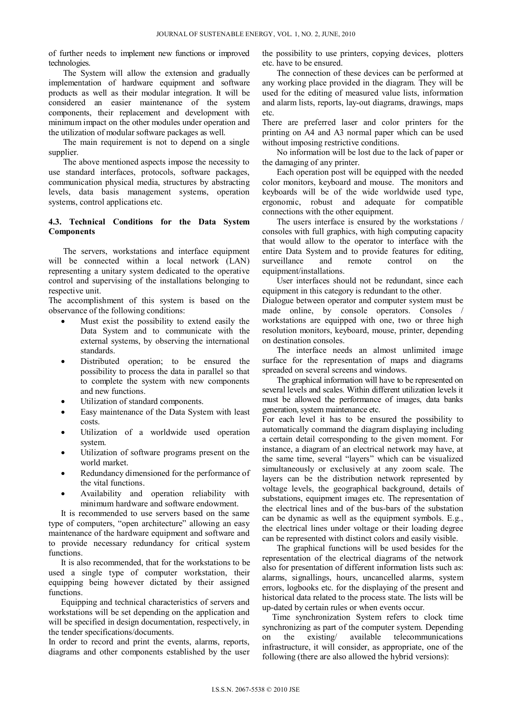of further needs to implement new functions or improved technologies.

The System will allow the extension and gradually implementation of hardware equipment and software products as well as their modular integration. It will be considered an easier maintenance of the system components, their replacement and development with minimum impact on the other modules under operation and the utilization of modular software packages as well.

The main requirement is not to depend on a single supplier.

The above mentioned aspects impose the necessity to use standard interfaces, protocols, software packages, communication physical media, structures by abstracting levels, data basis management systems, operation systems, control applications etc.

#### **4.3. Technical Conditions for the Data System Components**

The servers, workstations and interface equipment will be connected within a local network (LAN) representing a unitary system dedicated to the operative control and supervising of the installations belonging to respective unit.

The accomplishment of this system is based on the observance of the following conditions:

- Must exist the possibility to extend easily the Data System and to communicate with the external systems, by observing the international standards.
- Distributed operation; to be ensured the possibility to process the data in parallel so that to complete the system with new components and new functions.
- Utilization of standard components.
- Easy maintenance of the Data System with least costs.
- Utilization of a worldwide used operation system.
- Utilization of software programs present on the world market.
- Redundancy dimensioned for the performance of the vital functions.
- Availability and operation reliability with minimum hardware and software endowment.

It is recommended to use servers based on the same type of computers, "open architecture" allowing an easy maintenance of the hardware equipment and software and to provide necessary redundancy for critical system functions.

It is also recommended, that for the workstations to be used a single type of computer workstation, their equipping being however dictated by their assigned functions.

Equipping and technical characteristics of servers and workstations will be set depending on the application and will be specified in design documentation, respectively, in the tender specifications/documents.

In order to record and print the events, alarms, reports, diagrams and other components established by the user the possibility to use printers, copying devices, plotters etc. have to be ensured.

The connection of these devices can be performed at any working place provided in the diagram. They will be used for the editing of measured value lists, information and alarm lists, reports, lay-out diagrams, drawings, maps etc.

There are preferred laser and color printers for the printing on A4 and A3 normal paper which can be used without imposing restrictive conditions.

No information will be lost due to the lack of paper or the damaging of any printer.

Each operation post will be equipped with the needed color monitors, keyboard and mouse. The monitors and keyboards will be of the wide worldwide used type, ergonomic, robust and adequate for compatible connections with the other equipment.

The users interface is ensured by the workstations / consoles with full graphics, with high computing capacity that would allow to the operator to interface with the entire Data System and to provide features for editing, surveillance and remote control on the equipment/installations.

User interfaces should not be redundant, since each equipment in this category is redundant to the other.

Dialogue between operator and computer system must be made online, by console operators. Consoles workstations are equipped with one, two or three high resolution monitors, keyboard, mouse, printer, depending on destination consoles.

The interface needs an almost unlimited image surface for the representation of maps and diagrams spreaded on several screens and windows.

The graphical information will have to be represented on several levels and scales. Within different utilization levels it must be allowed the performance of images, data banks generation, system maintenance etc.

For each level it has to be ensured the possibility to automatically command the diagram displaying including a certain detail corresponding to the given moment. For instance, a diagram of an electrical network may have, at the same time, several "layers" which can be visualized simultaneously or exclusively at any zoom scale. The layers can be the distribution network represented by voltage levels, the geographical background, details of substations, equipment images etc. The representation of the electrical lines and of the bus-bars of the substation can be dynamic as well as the equipment symbols. E.g., the electrical lines under voltage or their loading degree can be represented with distinct colors and easily visible.

The graphical functions will be used besides for the representation of the electrical diagrams of the network also for presentation of different information lists such as: alarms, signallings, hours, uncancelled alarms, system errors, logbooks etc. for the displaying of the present and historical data related to the process state. The lists will be up-dated by certain rules or when events occur.

Time synchronization System refers to clock time synchronizing as part of the computer system. Depending on the existing/ available telecommunications infrastructure, it will consider, as appropriate, one of the following (there are also allowed the hybrid versions):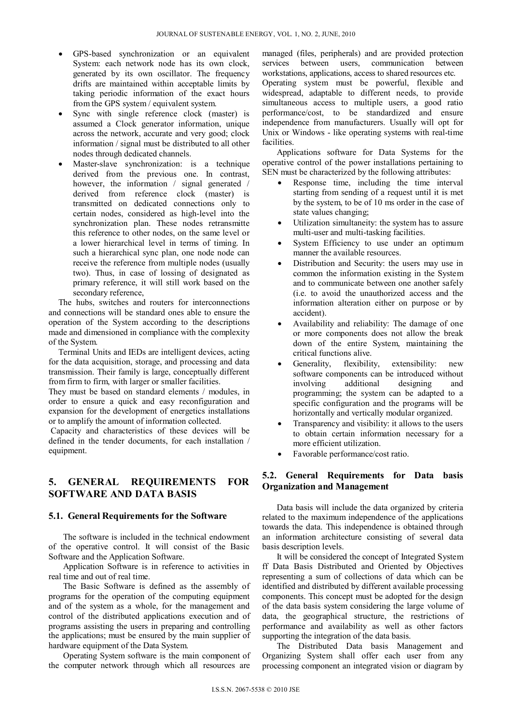- GPS-based synchronization or an equivalent System: each network node has its own clock, generated by its own oscillator. The frequency drifts are maintained within acceptable limits by taking periodic information of the exact hours from the GPS system / equivalent system.
- Sync with single reference clock (master) is assumed a Clock generator information, unique across the network, accurate and very good; clock information / signal must be distributed to all other nodes through dedicated channels.
- Master-slave synchronization: is a technique derived from the previous one. In contrast, however, the information / signal generated / derived from reference clock (master) is transmitted on dedicated connections only to certain nodes, considered as high-level into the synchronization plan. These nodes retransmitte this reference to other nodes, on the same level or a lower hierarchical level in terms of timing. In such a hierarchical sync plan, one node node can receive the reference from multiple nodes (usually two). Thus, in case of lossing of designated as primary reference, it will still work based on the secondary reference,

The hubs, switches and routers for interconnections and connections will be standard ones able to ensure the operation of the System according to the descriptions made and dimensioned in compliance with the complexity of the System.

Terminal Units and IEDs are intelligent devices, acting for the data acquisition, storage, and processing and data transmission. Their family is large, conceptually different from firm to firm, with larger or smaller facilities.

They must be based on standard elements / modules, in order to ensure a quick and easy reconfiguration and expansion for the development of energetics installations or to amplify the amount of information collected.

 Capacity and characteristics of these devices will be defined in the tender documents, for each installation / equipment.

## **5. GENERAL REQUIREMENTS FOR SOFTWARE AND DATA BASIS**

#### **5.1. General Requirements for the Software**

The software is included in the technical endowment of the operative control. It will consist of the Basic Software and the Application Software.

Application Software is in reference to activities in real time and out of real time.

The Basic Software is defined as the assembly of programs for the operation of the computing equipment and of the system as a whole, for the management and control of the distributed applications execution and of programs assisting the users in preparing and controlling the applications; must be ensured by the main supplier of hardware equipment of the Data System.

Operating System software is the main component of the computer network through which all resources are managed (files, peripherals) and are provided protection services between users, communication between workstations, applications, access to shared resources etc. Operating system must be powerful, flexible and widespread, adaptable to different needs, to provide simultaneous access to multiple users, a good ratio performance/cost, to be standardized and ensure independence from manufacturers. Usually will opt for Unix or Windows - like operating systems with real-time facilities.

Applications software for Data Systems for the operative control of the power installations pertaining to SEN must be characterized by the following attributes:

- Response time, including the time interval starting from sending of a request until it is met by the system, to be of 10 ms order in the case of state values changing;
- Utilization simultaneity: the system has to assure multi-user and multi-tasking facilities.
- System Efficiency to use under an optimum manner the available resources.
- Distribution and Security: the users may use in common the information existing in the System and to communicate between one another safely (i.e. to avoid the unauthorized access and the information alteration either on purpose or by accident).
- Availability and reliability: The damage of one or more components does not allow the break down of the entire System, maintaining the critical functions alive.
- Generality, flexibility, extensibility: new software components can be introduced without involving additional designing and programming; the system can be adapted to a specific configuration and the programs will be horizontally and vertically modular organized.
- Transparency and visibility: it allows to the users to obtain certain information necessary for a more efficient utilization.
- Favorable performance/cost ratio.

## **5.2. General Requirements for Data basis Organization and Management**

Data basis will include the data organized by criteria related to the maximum independence of the applications towards the data. This independence is obtained through an information architecture consisting of several data basis description levels.

It will be considered the concept of Integrated System ff Data Basis Distributed and Oriented by Objectives representing a sum of collections of data which can be identified and distributed by different available processing components. This concept must be adopted for the design of the data basis system considering the large volume of data, the geographical structure, the restrictions of performance and availability as well as other factors supporting the integration of the data basis.

The Distributed Data basis Management and Organizing System shall offer each user from any processing component an integrated vision or diagram by